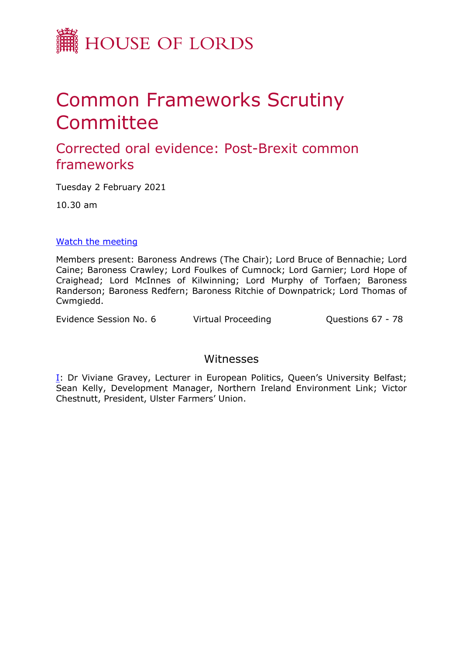

# Common Frameworks Scrutiny **Committee**

## Corrected oral evidence: Post-Brexit common frameworks

Tuesday 2 February 2021

10.30 am

### [Watch](https://www.parliamentlive.tv/Event/Index/a84ab5e3-199b-4c14-a7e1-ab56b77e996b) [the](https://www.parliamentlive.tv/Event/Index/a84ab5e3-199b-4c14-a7e1-ab56b77e996b) [meeting](https://www.parliamentlive.tv/Event/Index/a84ab5e3-199b-4c14-a7e1-ab56b77e996b)

Members present: Baroness Andrews (The Chair); Lord Bruce of Bennachie; Lord Caine; Baroness Crawley; Lord Foulkes of Cumnock; Lord Garnier; Lord Hope of Craighead; Lord McInnes of Kilwinning; Lord Murphy of Torfaen; Baroness Randerson; Baroness Redfern; Baroness Ritchie of Downpatrick; Lord Thomas of Cwmgiedd.

Evidence Session No. 6 Virtual Proceeding Cuestions 67 - 78

## Witnesses

I: Dr Viviane Gravey, Lecturer in European Politics, Queen's University Belfast; Sean Kelly, Development Manager, Northern Ireland Environment Link; Victor Chestnutt, President, Ulster Farmers' Union.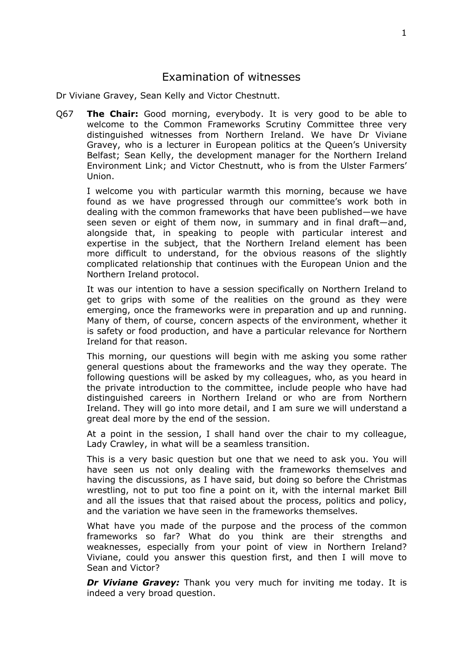## Examination of witnesses

Dr Viviane Gravey, Sean Kelly and Victor Chestnutt.

Q67 **The Chair:** Good morning, everybody. It is very good to be able to welcome to the Common Frameworks Scrutiny Committee three very distinguished witnesses from Northern Ireland. We have Dr Viviane Gravey, who is a lecturer in European politics at the Queen's University Belfast; Sean Kelly, the development manager for the Northern Ireland Environment Link; and Victor Chestnutt, who is from the Ulster Farmers' Union.

I welcome you with particular warmth this morning, because we have found as we have progressed through our committee's work both in dealing with the common frameworks that have been published—we have seen seven or eight of them now, in summary and in final draft—and, alongside that, in speaking to people with particular interest and expertise in the subject, that the Northern Ireland element has been more difficult to understand, for the obvious reasons of the slightly complicated relationship that continues with the European Union and the Northern Ireland protocol.

It was our intention to have a session specifically on Northern Ireland to get to grips with some of the realities on the ground as they were emerging, once the frameworks were in preparation and up and running. Many of them, of course, concern aspects of the environment, whether it is safety or food production, and have a particular relevance for Northern Ireland for that reason.

This morning, our questions will begin with me asking you some rather general questions about the frameworks and the way they operate. The following questions will be asked by my colleagues, who, as you heard in the private introduction to the committee, include people who have had distinguished careers in Northern Ireland or who are from Northern Ireland. They will go into more detail, and I am sure we will understand a great deal more by the end of the session.

At a point in the session, I shall hand over the chair to my colleague, Lady Crawley, in what will be a seamless transition.

This is a very basic question but one that we need to ask you. You will have seen us not only dealing with the frameworks themselves and having the discussions, as I have said, but doing so before the Christmas wrestling, not to put too fine a point on it, with the internal market Bill and all the issues that that raised about the process, politics and policy, and the variation we have seen in the frameworks themselves.

What have you made of the purpose and the process of the common frameworks so far? What do you think are their strengths and weaknesses, especially from your point of view in Northern Ireland? Viviane, could you answer this question first, and then I will move to Sean and Victor?

*Dr Viviane Gravey:* Thank you very much for inviting me today. It is indeed a very broad question.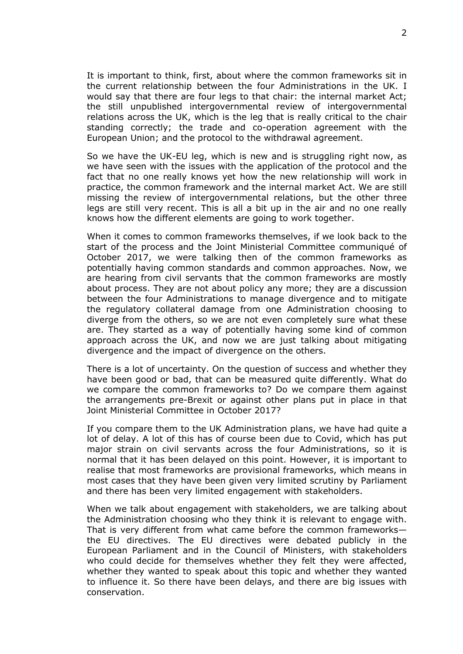It is important to think, first, about where the common frameworks sit in the current relationship between the four Administrations in the UK. I would say that there are four legs to that chair: the internal market Act; the still unpublished intergovernmental review of intergovernmental relations across the UK, which is the leg that is really critical to the chair standing correctly; the trade and co-operation agreement with the European Union; and the protocol to the withdrawal agreement.

So we have the UK-EU leg, which is new and is struggling right now, as we have seen with the issues with the application of the protocol and the fact that no one really knows yet how the new relationship will work in practice, the common framework and the internal market Act. We are still missing the review of intergovernmental relations, but the other three legs are still very recent. This is all a bit up in the air and no one really knows how the different elements are going to work together.

When it comes to common frameworks themselves, if we look back to the start of the process and the Joint Ministerial Committee communiqué of October 2017, we were talking then of the common frameworks as potentially having common standards and common approaches. Now, we are hearing from civil servants that the common frameworks are mostly about process. They are not about policy any more; they are a discussion between the four Administrations to manage divergence and to mitigate the regulatory collateral damage from one Administration choosing to diverge from the others, so we are not even completely sure what these are. They started as a way of potentially having some kind of common approach across the UK, and now we are just talking about mitigating divergence and the impact of divergence on the others.

There is a lot of uncertainty. On the question of success and whether they have been good or bad, that can be measured quite differently. What do we compare the common frameworks to? Do we compare them against the arrangements pre-Brexit or against other plans put in place in that Joint Ministerial Committee in October 2017?

If you compare them to the UK Administration plans, we have had quite a lot of delay. A lot of this has of course been due to Covid, which has put major strain on civil servants across the four Administrations, so it is normal that it has been delayed on this point. However, it is important to realise that most frameworks are provisional frameworks, which means in most cases that they have been given very limited scrutiny by Parliament and there has been very limited engagement with stakeholders.

When we talk about engagement with stakeholders, we are talking about the Administration choosing who they think it is relevant to engage with. That is very different from what came before the common frameworks the EU directives. The EU directives were debated publicly in the European Parliament and in the Council of Ministers, with stakeholders who could decide for themselves whether they felt they were affected, whether they wanted to speak about this topic and whether they wanted to influence it. So there have been delays, and there are big issues with conservation.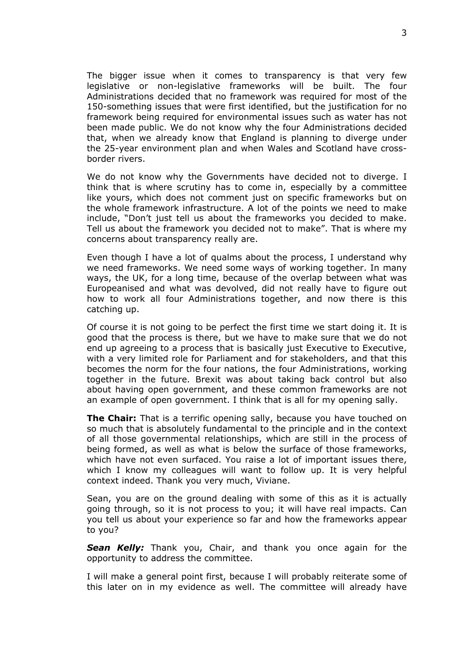The bigger issue when it comes to transparency is that very few legislative or non-legislative frameworks will be built. The four Administrations decided that no framework was required for most of the 150-something issues that were first identified, but the justification for no framework being required for environmental issues such as water has not been made public. We do not know why the four Administrations decided that, when we already know that England is planning to diverge under the 25-year environment plan and when Wales and Scotland have crossborder rivers.

We do not know why the Governments have decided not to diverge. I think that is where scrutiny has to come in, especially by a committee like yours, which does not comment just on specific frameworks but on the whole framework infrastructure. A lot of the points we need to make include, "Don't just tell us about the frameworks you decided to make. Tell us about the framework you decided not to make". That is where my concerns about transparency really are.

Even though I have a lot of qualms about the process, I understand why we need frameworks. We need some ways of working together. In many ways, the UK, for a long time, because of the overlap between what was Europeanised and what was devolved, did not really have to figure out how to work all four Administrations together, and now there is this catching up.

Of course it is not going to be perfect the first time we start doing it. It is good that the process is there, but we have to make sure that we do not end up agreeing to a process that is basically just Executive to Executive, with a very limited role for Parliament and for stakeholders, and that this becomes the norm for the four nations, the four Administrations, working together in the future. Brexit was about taking back control but also about having open government, and these common frameworks are not an example of open government. I think that is all for my opening sally.

**The Chair:** That is a terrific opening sally, because you have touched on so much that is absolutely fundamental to the principle and in the context of all those governmental relationships, which are still in the process of being formed, as well as what is below the surface of those frameworks, which have not even surfaced. You raise a lot of important issues there, which I know my colleagues will want to follow up. It is very helpful context indeed. Thank you very much, Viviane.

Sean, you are on the ground dealing with some of this as it is actually going through, so it is not process to you; it will have real impacts. Can you tell us about your experience so far and how the frameworks appear to you?

*Sean Kelly:* Thank you, Chair, and thank you once again for the opportunity to address the committee.

I will make a general point first, because I will probably reiterate some of this later on in my evidence as well. The committee will already have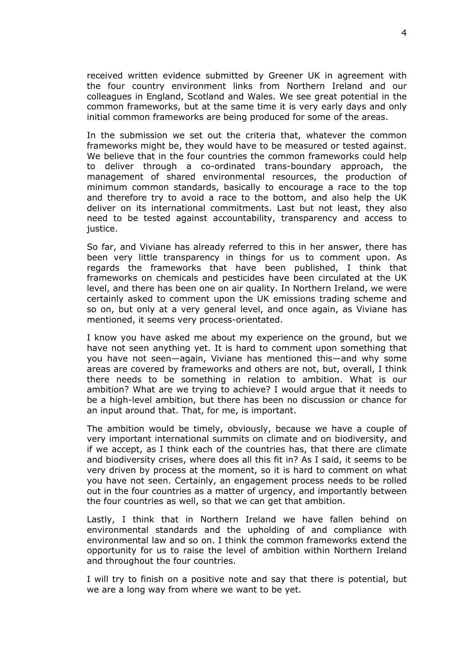received written evidence submitted by Greener UK in agreement with the four country environment links from Northern Ireland and our colleagues in England, Scotland and Wales. We see great potential in the common frameworks, but at the same time it is very early days and only initial common frameworks are being produced for some of the areas.

In the submission we set out the criteria that, whatever the common frameworks might be, they would have to be measured or tested against. We believe that in the four countries the common frameworks could help to deliver through a co-ordinated trans-boundary approach, the management of shared environmental resources, the production of minimum common standards, basically to encourage a race to the top and therefore try to avoid a race to the bottom, and also help the UK deliver on its international commitments. Last but not least, they also need to be tested against accountability, transparency and access to justice.

So far, and Viviane has already referred to this in her answer, there has been very little transparency in things for us to comment upon. As regards the frameworks that have been published, I think that frameworks on chemicals and pesticides have been circulated at the UK level, and there has been one on air quality. In Northern Ireland, we were certainly asked to comment upon the UK emissions trading scheme and so on, but only at a very general level, and once again, as Viviane has mentioned, it seems very process-orientated.

I know you have asked me about my experience on the ground, but we have not seen anything yet. It is hard to comment upon something that you have not seen—again, Viviane has mentioned this—and why some areas are covered by frameworks and others are not, but, overall, I think there needs to be something in relation to ambition. What is our ambition? What are we trying to achieve? I would argue that it needs to be a high-level ambition, but there has been no discussion or chance for an input around that. That, for me, is important.

The ambition would be timely, obviously, because we have a couple of very important international summits on climate and on biodiversity, and if we accept, as I think each of the countries has, that there are climate and biodiversity crises, where does all this fit in? As I said, it seems to be very driven by process at the moment, so it is hard to comment on what you have not seen. Certainly, an engagement process needs to be rolled out in the four countries as a matter of urgency, and importantly between the four countries as well, so that we can get that ambition.

Lastly, I think that in Northern Ireland we have fallen behind on environmental standards and the upholding of and compliance with environmental law and so on. I think the common frameworks extend the opportunity for us to raise the level of ambition within Northern Ireland and throughout the four countries.

I will try to finish on a positive note and say that there is potential, but we are a long way from where we want to be yet.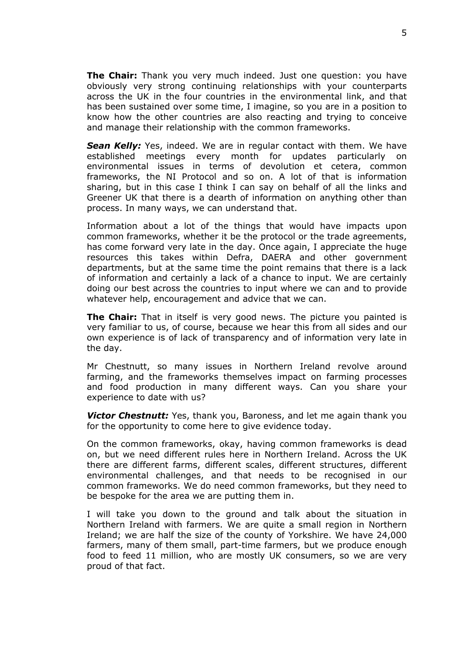**The Chair:** Thank you very much indeed. Just one question: you have obviously very strong continuing relationships with your counterparts across the UK in the four countries in the environmental link, and that has been sustained over some time, I imagine, so you are in a position to know how the other countries are also reacting and trying to conceive and manage their relationship with the common frameworks.

*Sean Kelly:* Yes, indeed. We are in regular contact with them. We have established meetings every month for updates particularly on environmental issues in terms of devolution et cetera, common frameworks, the NI Protocol and so on. A lot of that is information sharing, but in this case I think I can say on behalf of all the links and Greener UK that there is a dearth of information on anything other than process. In many ways, we can understand that.

Information about a lot of the things that would have impacts upon common frameworks, whether it be the protocol or the trade agreements, has come forward very late in the day. Once again, I appreciate the huge resources this takes within Defra, DAERA and other government departments, but at the same time the point remains that there is a lack of information and certainly a lack of a chance to input. We are certainly doing our best across the countries to input where we can and to provide whatever help, encouragement and advice that we can.

**The Chair:** That in itself is very good news. The picture you painted is very familiar to us, of course, because we hear this from all sides and our own experience is of lack of transparency and of information very late in the day.

Mr Chestnutt, so many issues in Northern Ireland revolve around farming, and the frameworks themselves impact on farming processes and food production in many different ways. Can you share your experience to date with us?

*Victor Chestnutt:* Yes, thank you, Baroness, and let me again thank you for the opportunity to come here to give evidence today.

On the common frameworks, okay, having common frameworks is dead on, but we need different rules here in Northern Ireland. Across the UK there are different farms, different scales, different structures, different environmental challenges, and that needs to be recognised in our common frameworks. We do need common frameworks, but they need to be bespoke for the area we are putting them in.

I will take you down to the ground and talk about the situation in Northern Ireland with farmers. We are quite a small region in Northern Ireland; we are half the size of the county of Yorkshire. We have 24,000 farmers, many of them small, part-time farmers, but we produce enough food to feed 11 million, who are mostly UK consumers, so we are very proud of that fact.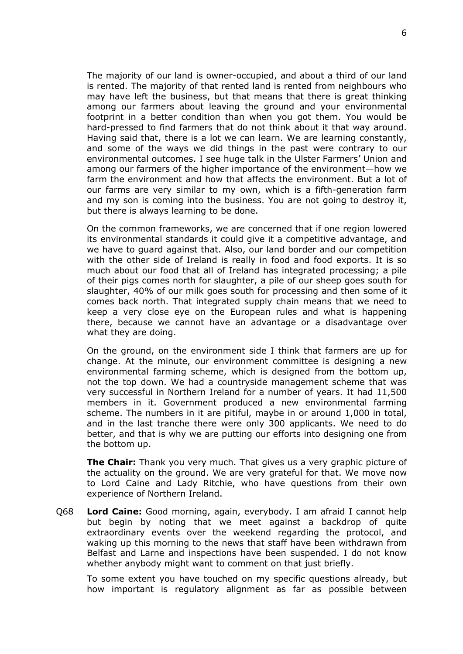The majority of our land is owner-occupied, and about a third of our land is rented. The majority of that rented land is rented from neighbours who may have left the business, but that means that there is great thinking among our farmers about leaving the ground and your environmental footprint in a better condition than when you got them. You would be hard-pressed to find farmers that do not think about it that way around. Having said that, there is a lot we can learn. We are learning constantly, and some of the ways we did things in the past were contrary to our environmental outcomes. I see huge talk in the Ulster Farmers' Union and among our farmers of the higher importance of the environment—how we farm the environment and how that affects the environment. But a lot of our farms are very similar to my own, which is a fifth-generation farm and my son is coming into the business. You are not going to destroy it, but there is always learning to be done.

On the common frameworks, we are concerned that if one region lowered its environmental standards it could give it a competitive advantage, and we have to guard against that. Also, our land border and our competition with the other side of Ireland is really in food and food exports. It is so much about our food that all of Ireland has integrated processing; a pile of their pigs comes north for slaughter, a pile of our sheep goes south for slaughter, 40% of our milk goes south for processing and then some of it comes back north. That integrated supply chain means that we need to keep a very close eye on the European rules and what is happening there, because we cannot have an advantage or a disadvantage over what they are doing.

On the ground, on the environment side I think that farmers are up for change. At the minute, our environment committee is designing a new environmental farming scheme, which is designed from the bottom up, not the top down. We had a countryside management scheme that was very successful in Northern Ireland for a number of years. It had 11,500 members in it. Government produced a new environmental farming scheme. The numbers in it are pitiful, maybe in or around 1,000 in total, and in the last tranche there were only 300 applicants. We need to do better, and that is why we are putting our efforts into designing one from the bottom up.

**The Chair:** Thank you very much. That gives us a very graphic picture of the actuality on the ground. We are very grateful for that. We move now to Lord Caine and Lady Ritchie, who have questions from their own experience of Northern Ireland.

Q68 **Lord Caine:** Good morning, again, everybody. I am afraid I cannot help but begin by noting that we meet against a backdrop of quite extraordinary events over the weekend regarding the protocol, and waking up this morning to the news that staff have been withdrawn from Belfast and Larne and inspections have been suspended. I do not know whether anybody might want to comment on that just briefly.

To some extent you have touched on my specific questions already, but how important is regulatory alignment as far as possible between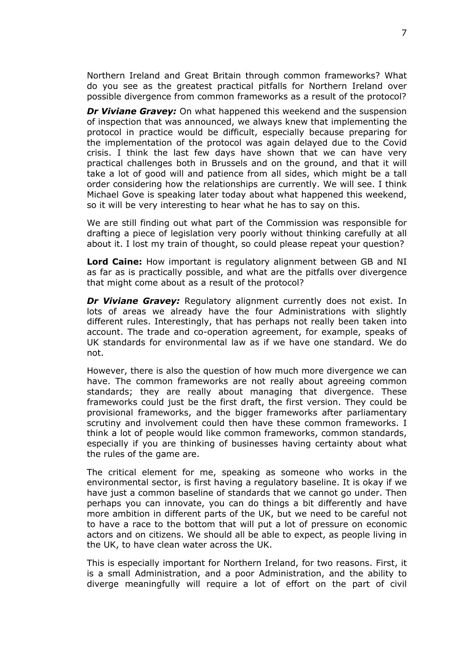Northern Ireland and Great Britain through common frameworks? What do you see as the greatest practical pitfalls for Northern Ireland over possible divergence from common frameworks as a result of the protocol?

*Dr Viviane Gravey:* On what happened this weekend and the suspension of inspection that was announced, we always knew that implementing the protocol in practice would be difficult, especially because preparing for the implementation of the protocol was again delayed due to the Covid crisis. I think the last few days have shown that we can have very practical challenges both in Brussels and on the ground, and that it will take a lot of good will and patience from all sides, which might be a tall order considering how the relationships are currently. We will see. I think Michael Gove is speaking later today about what happened this weekend, so it will be very interesting to hear what he has to say on this.

We are still finding out what part of the Commission was responsible for drafting a piece of legislation very poorly without thinking carefully at all about it. I lost my train of thought, so could please repeat your question?

**Lord Caine:** How important is regulatory alignment between GB and NI as far as is practically possible, and what are the pitfalls over divergence that might come about as a result of the protocol?

**Dr Viviane Gravey:** Regulatory alignment currently does not exist. In lots of areas we already have the four Administrations with slightly different rules. Interestingly, that has perhaps not really been taken into account. The trade and co-operation agreement, for example, speaks of UK standards for environmental law as if we have one standard. We do not.

However, there is also the question of how much more divergence we can have. The common frameworks are not really about agreeing common standards; they are really about managing that divergence. These frameworks could just be the first draft, the first version. They could be provisional frameworks, and the bigger frameworks after parliamentary scrutiny and involvement could then have these common frameworks. I think a lot of people would like common frameworks, common standards, especially if you are thinking of businesses having certainty about what the rules of the game are.

The critical element for me, speaking as someone who works in the environmental sector, is first having a regulatory baseline. It is okay if we have just a common baseline of standards that we cannot go under. Then perhaps you can innovate, you can do things a bit differently and have more ambition in different parts of the UK, but we need to be careful not to have a race to the bottom that will put a lot of pressure on economic actors and on citizens. We should all be able to expect, as people living in the UK, to have clean water across the UK.

This is especially important for Northern Ireland, for two reasons. First, it is a small Administration, and a poor Administration, and the ability to diverge meaningfully will require a lot of effort on the part of civil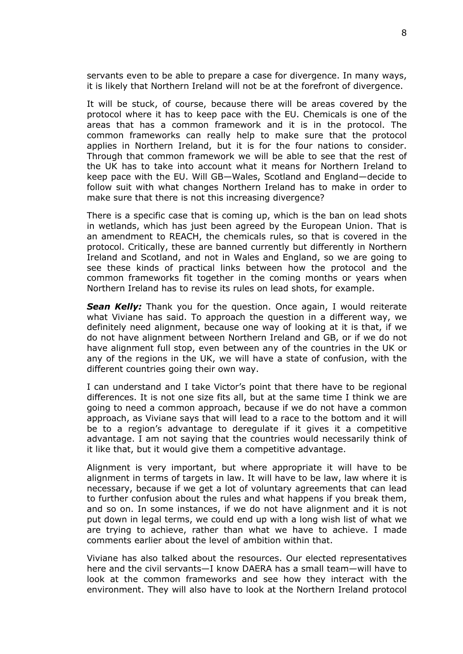servants even to be able to prepare a case for divergence. In many ways, it is likely that Northern Ireland will not be at the forefront of divergence.

It will be stuck, of course, because there will be areas covered by the protocol where it has to keep pace with the EU. Chemicals is one of the areas that has a common framework and it is in the protocol. The common frameworks can really help to make sure that the protocol applies in Northern Ireland, but it is for the four nations to consider. Through that common framework we will be able to see that the rest of the UK has to take into account what it means for Northern Ireland to keep pace with the EU. Will GB—Wales, Scotland and England—decide to follow suit with what changes Northern Ireland has to make in order to make sure that there is not this increasing divergence?

There is a specific case that is coming up, which is the ban on lead shots in wetlands, which has just been agreed by the European Union. That is an amendment to REACH, the chemicals rules, so that is covered in the protocol. Critically, these are banned currently but differently in Northern Ireland and Scotland, and not in Wales and England, so we are going to see these kinds of practical links between how the protocol and the common frameworks fit together in the coming months or years when Northern Ireland has to revise its rules on lead shots, for example.

*Sean Kelly:* Thank you for the question. Once again, I would reiterate what Viviane has said. To approach the question in a different way, we definitely need alignment, because one way of looking at it is that, if we do not have alignment between Northern Ireland and GB, or if we do not have alignment full stop, even between any of the countries in the UK or any of the regions in the UK, we will have a state of confusion, with the different countries going their own way.

I can understand and I take Victor's point that there have to be regional differences. It is not one size fits all, but at the same time I think we are going to need a common approach, because if we do not have a common approach, as Viviane says that will lead to a race to the bottom and it will be to a region's advantage to deregulate if it gives it a competitive advantage. I am not saying that the countries would necessarily think of it like that, but it would give them a competitive advantage.

Alignment is very important, but where appropriate it will have to be alignment in terms of targets in law. It will have to be law, law where it is necessary, because if we get a lot of voluntary agreements that can lead to further confusion about the rules and what happens if you break them, and so on. In some instances, if we do not have alignment and it is not put down in legal terms, we could end up with a long wish list of what we are trying to achieve, rather than what we have to achieve. I made comments earlier about the level of ambition within that.

Viviane has also talked about the resources. Our elected representatives here and the civil servants—I know DAERA has a small team—will have to look at the common frameworks and see how they interact with the environment. They will also have to look at the Northern Ireland protocol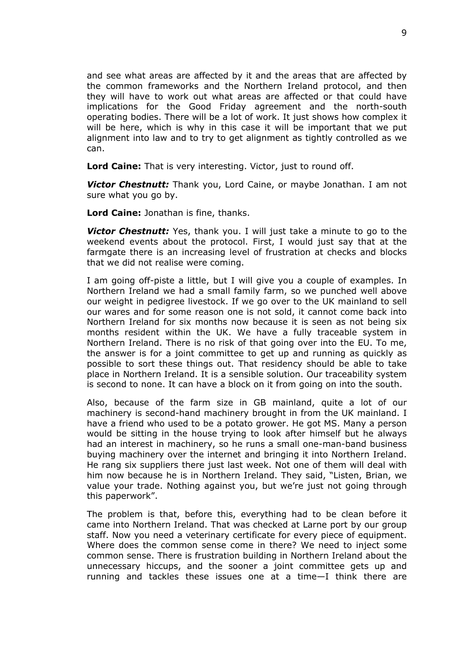and see what areas are affected by it and the areas that are affected by the common frameworks and the Northern Ireland protocol, and then they will have to work out what areas are affected or that could have implications for the Good Friday agreement and the north-south operating bodies. There will be a lot of work. It just shows how complex it will be here, which is why in this case it will be important that we put alignment into law and to try to get alignment as tightly controlled as we can.

**Lord Caine:** That is very interesting. Victor, just to round off.

*Victor Chestnutt:* Thank you, Lord Caine, or maybe Jonathan. I am not sure what you go by.

**Lord Caine:** Jonathan is fine, thanks.

*Victor Chestnutt:* Yes, thank you. I will just take a minute to go to the weekend events about the protocol. First, I would just say that at the farmgate there is an increasing level of frustration at checks and blocks that we did not realise were coming.

I am going off-piste a little, but I will give you a couple of examples. In Northern Ireland we had a small family farm, so we punched well above our weight in pedigree livestock. If we go over to the UK mainland to sell our wares and for some reason one is not sold, it cannot come back into Northern Ireland for six months now because it is seen as not being six months resident within the UK. We have a fully traceable system in Northern Ireland. There is no risk of that going over into the EU. To me, the answer is for a joint committee to get up and running as quickly as possible to sort these things out. That residency should be able to take place in Northern Ireland. It is a sensible solution. Our traceability system is second to none. It can have a block on it from going on into the south.

Also, because of the farm size in GB mainland, quite a lot of our machinery is second-hand machinery brought in from the UK mainland. I have a friend who used to be a potato grower. He got MS. Many a person would be sitting in the house trying to look after himself but he always had an interest in machinery, so he runs a small one-man-band business buying machinery over the internet and bringing it into Northern Ireland. He rang six suppliers there just last week. Not one of them will deal with him now because he is in Northern Ireland. They said, "Listen, Brian, we value your trade. Nothing against you, but we're just not going through this paperwork".

The problem is that, before this, everything had to be clean before it came into Northern Ireland. That was checked at Larne port by our group staff. Now you need a veterinary certificate for every piece of equipment. Where does the common sense come in there? We need to inject some common sense. There is frustration building in Northern Ireland about the unnecessary hiccups, and the sooner a joint committee gets up and running and tackles these issues one at a time—I think there are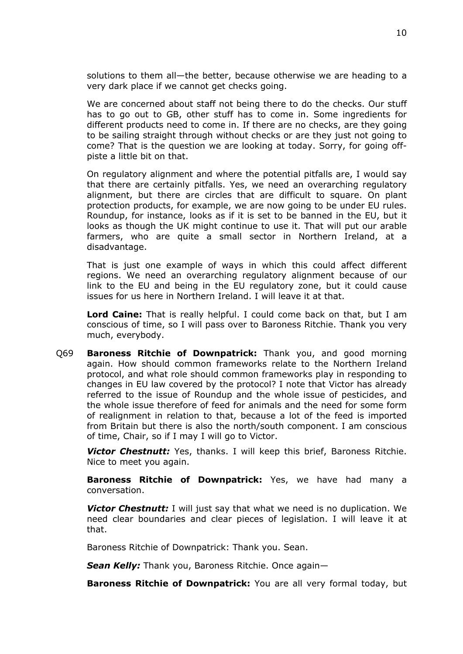solutions to them all—the better, because otherwise we are heading to a very dark place if we cannot get checks going.

We are concerned about staff not being there to do the checks. Our stuff has to go out to GB, other stuff has to come in. Some ingredients for different products need to come in. If there are no checks, are they going to be sailing straight through without checks or are they just not going to come? That is the question we are looking at today. Sorry, for going offpiste a little bit on that.

On regulatory alignment and where the potential pitfalls are, I would say that there are certainly pitfalls. Yes, we need an overarching regulatory alignment, but there are circles that are difficult to square. On plant protection products, for example, we are now going to be under EU rules. Roundup, for instance, looks as if it is set to be banned in the EU, but it looks as though the UK might continue to use it. That will put our arable farmers, who are quite a small sector in Northern Ireland, at a disadvantage.

That is just one example of ways in which this could affect different regions. We need an overarching regulatory alignment because of our link to the EU and being in the EU regulatory zone, but it could cause issues for us here in Northern Ireland. I will leave it at that.

**Lord Caine:** That is really helpful. I could come back on that, but I am conscious of time, so I will pass over to Baroness Ritchie. Thank you very much, everybody.

Q69 **Baroness Ritchie of Downpatrick:** Thank you, and good morning again. How should common frameworks relate to the Northern Ireland protocol, and what role should common frameworks play in responding to changes in EU law covered by the protocol? I note that Victor has already referred to the issue of Roundup and the whole issue of pesticides, and the whole issue therefore of feed for animals and the need for some form of realignment in relation to that, because a lot of the feed is imported from Britain but there is also the north/south component. I am conscious of time, Chair, so if I may I will go to Victor.

*Victor Chestnutt:* Yes, thanks. I will keep this brief, Baroness Ritchie. Nice to meet you again.

**Baroness Ritchie of Downpatrick:** Yes, we have had many a conversation.

*Victor Chestnutt:* I will just say that what we need is no duplication. We need clear boundaries and clear pieces of legislation. I will leave it at that.

Baroness Ritchie of Downpatrick: Thank you. Sean.

*Sean Kelly:* Thank you, Baroness Ritchie. Once again—

**Baroness Ritchie of Downpatrick:** You are all very formal today, but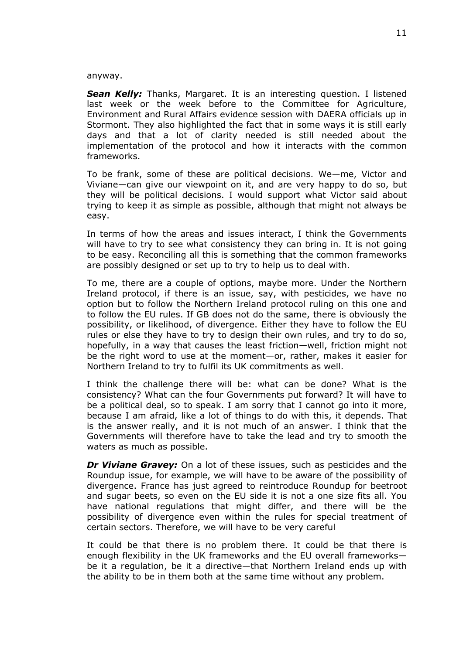#### anyway.

*Sean Kelly:* Thanks, Margaret. It is an interesting question. I listened last week or the week before to the Committee for Agriculture, Environment and Rural Affairs evidence session with DAERA officials up in Stormont. They also highlighted the fact that in some ways it is still early days and that a lot of clarity needed is still needed about the implementation of the protocol and how it interacts with the common frameworks.

To be frank, some of these are political decisions. We—me, Victor and Viviane—can give our viewpoint on it, and are very happy to do so, but they will be political decisions. I would support what Victor said about trying to keep it as simple as possible, although that might not always be easy.

In terms of how the areas and issues interact, I think the Governments will have to try to see what consistency they can bring in. It is not going to be easy. Reconciling all this is something that the common frameworks are possibly designed or set up to try to help us to deal with.

To me, there are a couple of options, maybe more. Under the Northern Ireland protocol, if there is an issue, say, with pesticides, we have no option but to follow the Northern Ireland protocol ruling on this one and to follow the EU rules. If GB does not do the same, there is obviously the possibility, or likelihood, of divergence. Either they have to follow the EU rules or else they have to try to design their own rules, and try to do so, hopefully, in a way that causes the least friction—well, friction might not be the right word to use at the moment—or, rather, makes it easier for Northern Ireland to try to fulfil its UK commitments as well.

I think the challenge there will be: what can be done? What is the consistency? What can the four Governments put forward? It will have to be a political deal, so to speak. I am sorry that I cannot go into it more, because I am afraid, like a lot of things to do with this, it depends. That is the answer really, and it is not much of an answer. I think that the Governments will therefore have to take the lead and try to smooth the waters as much as possible.

*Dr Viviane Gravey:* On a lot of these issues, such as pesticides and the Roundup issue, for example, we will have to be aware of the possibility of divergence. France has just agreed to reintroduce Roundup for beetroot and sugar beets, so even on the EU side it is not a one size fits all. You have national regulations that might differ, and there will be the possibility of divergence even within the rules for special treatment of certain sectors. Therefore, we will have to be very careful

It could be that there is no problem there. It could be that there is enough flexibility in the UK frameworks and the EU overall frameworks be it a regulation, be it a directive—that Northern Ireland ends up with the ability to be in them both at the same time without any problem.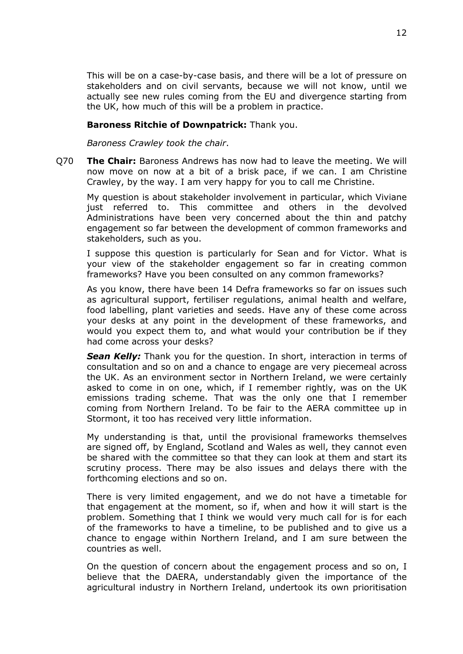This will be on a case-by-case basis, and there will be a lot of pressure on stakeholders and on civil servants, because we will not know, until we actually see new rules coming from the EU and divergence starting from the UK, how much of this will be a problem in practice.

#### **Baroness Ritchie of Downpatrick:** Thank you.

*Baroness Crawley took the chair*.

Q70 **The Chair:** Baroness Andrews has now had to leave the meeting. We will now move on now at a bit of a brisk pace, if we can. I am Christine Crawley, by the way. I am very happy for you to call me Christine.

My question is about stakeholder involvement in particular, which Viviane just referred to. This committee and others in the devolved Administrations have been very concerned about the thin and patchy engagement so far between the development of common frameworks and stakeholders, such as you.

I suppose this question is particularly for Sean and for Victor. What is your view of the stakeholder engagement so far in creating common frameworks? Have you been consulted on any common frameworks?

As you know, there have been 14 Defra frameworks so far on issues such as agricultural support, fertiliser regulations, animal health and welfare, food labelling, plant varieties and seeds. Have any of these come across your desks at any point in the development of these frameworks, and would you expect them to, and what would your contribution be if they had come across your desks?

*Sean Kelly:* Thank you for the question. In short, interaction in terms of consultation and so on and a chance to engage are very piecemeal across the UK. As an environment sector in Northern Ireland, we were certainly asked to come in on one, which, if I remember rightly, was on the UK emissions trading scheme. That was the only one that I remember coming from Northern Ireland. To be fair to the AERA committee up in Stormont, it too has received very little information.

My understanding is that, until the provisional frameworks themselves are signed off, by England, Scotland and Wales as well, they cannot even be shared with the committee so that they can look at them and start its scrutiny process. There may be also issues and delays there with the forthcoming elections and so on.

There is very limited engagement, and we do not have a timetable for that engagement at the moment, so if, when and how it will start is the problem. Something that I think we would very much call for is for each of the frameworks to have a timeline, to be published and to give us a chance to engage within Northern Ireland, and I am sure between the countries as well.

On the question of concern about the engagement process and so on, I believe that the DAERA, understandably given the importance of the agricultural industry in Northern Ireland, undertook its own prioritisation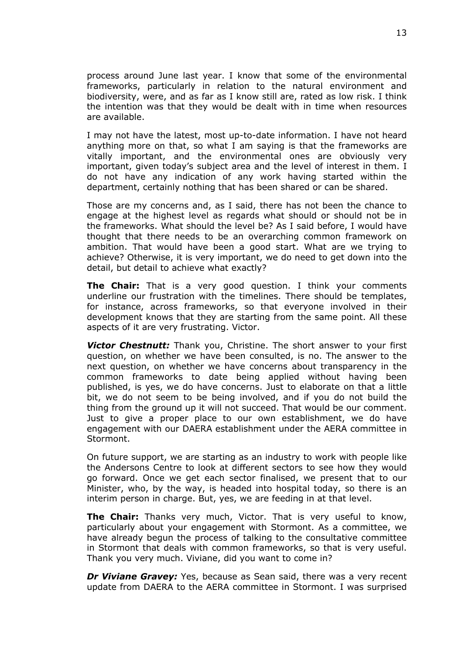process around June last year. I know that some of the environmental frameworks, particularly in relation to the natural environment and biodiversity, were, and as far as I know still are, rated as low risk. I think the intention was that they would be dealt with in time when resources are available.

I may not have the latest, most up-to-date information. I have not heard anything more on that, so what I am saying is that the frameworks are vitally important, and the environmental ones are obviously very important, given today's subject area and the level of interest in them. I do not have any indication of any work having started within the department, certainly nothing that has been shared or can be shared.

Those are my concerns and, as I said, there has not been the chance to engage at the highest level as regards what should or should not be in the frameworks. What should the level be? As I said before, I would have thought that there needs to be an overarching common framework on ambition. That would have been a good start. What are we trying to achieve? Otherwise, it is very important, we do need to get down into the detail, but detail to achieve what exactly?

**The Chair:** That is a very good question. I think your comments underline our frustration with the timelines. There should be templates, for instance, across frameworks, so that everyone involved in their development knows that they are starting from the same point. All these aspects of it are very frustrating. Victor.

*Victor Chestnutt:* Thank you, Christine. The short answer to your first question, on whether we have been consulted, is no. The answer to the next question, on whether we have concerns about transparency in the common frameworks to date being applied without having been published, is yes, we do have concerns. Just to elaborate on that a little bit, we do not seem to be being involved, and if you do not build the thing from the ground up it will not succeed. That would be our comment. Just to give a proper place to our own establishment, we do have engagement with our DAERA establishment under the AERA committee in Stormont.

On future support, we are starting as an industry to work with people like the Andersons Centre to look at different sectors to see how they would go forward. Once we get each sector finalised, we present that to our Minister, who, by the way, is headed into hospital today, so there is an interim person in charge. But, yes, we are feeding in at that level.

**The Chair:** Thanks very much, Victor. That is very useful to know, particularly about your engagement with Stormont. As a committee, we have already begun the process of talking to the consultative committee in Stormont that deals with common frameworks, so that is very useful. Thank you very much. Viviane, did you want to come in?

**Dr Viviane Gravey:** Yes, because as Sean said, there was a very recent update from DAERA to the AERA committee in Stormont. I was surprised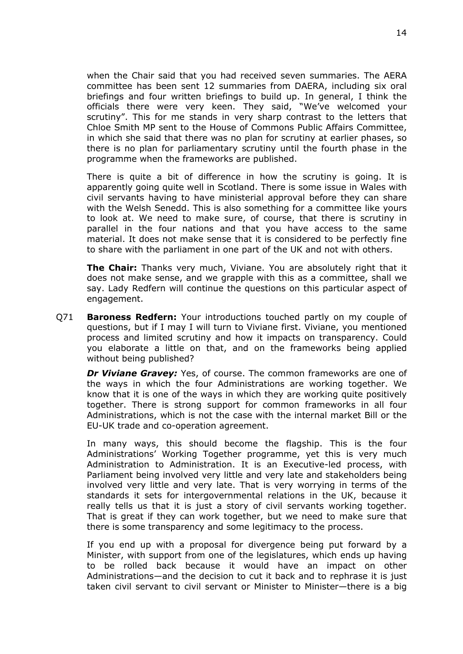when the Chair said that you had received seven summaries. The AERA committee has been sent 12 summaries from DAERA, including six oral briefings and four written briefings to build up. In general, I think the officials there were very keen. They said, "We've welcomed your scrutiny". This for me stands in very sharp contrast to the letters that Chloe Smith MP sent to the House of Commons Public Affairs Committee, in which she said that there was no plan for scrutiny at earlier phases, so there is no plan for parliamentary scrutiny until the fourth phase in the programme when the frameworks are published.

There is quite a bit of difference in how the scrutiny is going. It is apparently going quite well in Scotland. There is some issue in Wales with civil servants having to have ministerial approval before they can share with the Welsh Senedd. This is also something for a committee like yours to look at. We need to make sure, of course, that there is scrutiny in parallel in the four nations and that you have access to the same material. It does not make sense that it is considered to be perfectly fine to share with the parliament in one part of the UK and not with others.

**The Chair:** Thanks very much, Viviane. You are absolutely right that it does not make sense, and we grapple with this as a committee, shall we say. Lady Redfern will continue the questions on this particular aspect of engagement.

Q71 **Baroness Redfern:** Your introductions touched partly on my couple of questions, but if I may I will turn to Viviane first. Viviane, you mentioned process and limited scrutiny and how it impacts on transparency. Could you elaborate a little on that, and on the frameworks being applied without being published?

*Dr Viviane Gravey:* Yes, of course. The common frameworks are one of the ways in which the four Administrations are working together. We know that it is one of the ways in which they are working quite positively together. There is strong support for common frameworks in all four Administrations, which is not the case with the internal market Bill or the EU-UK trade and co-operation agreement.

In many ways, this should become the flagship. This is the four Administrations' Working Together programme, yet this is very much Administration to Administration. It is an Executive-led process, with Parliament being involved very little and very late and stakeholders being involved very little and very late. That is very worrying in terms of the standards it sets for intergovernmental relations in the UK, because it really tells us that it is just a story of civil servants working together. That is great if they can work together, but we need to make sure that there is some transparency and some legitimacy to the process.

If you end up with a proposal for divergence being put forward by a Minister, with support from one of the legislatures, which ends up having to be rolled back because it would have an impact on other Administrations—and the decision to cut it back and to rephrase it is just taken civil servant to civil servant or Minister to Minister—there is a big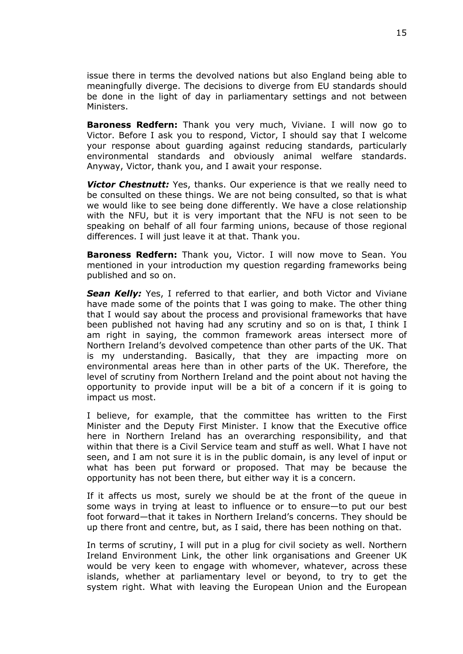issue there in terms the devolved nations but also England being able to meaningfully diverge. The decisions to diverge from EU standards should be done in the light of day in parliamentary settings and not between Ministers.

**Baroness Redfern:** Thank you very much, Viviane. I will now go to Victor. Before I ask you to respond, Victor, I should say that I welcome your response about guarding against reducing standards, particularly environmental standards and obviously animal welfare standards. Anyway, Victor, thank you, and I await your response.

*Victor Chestnutt:* Yes, thanks. Our experience is that we really need to be consulted on these things. We are not being consulted, so that is what we would like to see being done differently. We have a close relationship with the NFU, but it is very important that the NFU is not seen to be speaking on behalf of all four farming unions, because of those regional differences. I will just leave it at that. Thank you.

**Baroness Redfern:** Thank you, Victor. I will now move to Sean. You mentioned in your introduction my question regarding frameworks being published and so on.

*Sean Kelly:* Yes, I referred to that earlier, and both Victor and Viviane have made some of the points that I was going to make. The other thing that I would say about the process and provisional frameworks that have been published not having had any scrutiny and so on is that, I think I am right in saying, the common framework areas intersect more of Northern Ireland's devolved competence than other parts of the UK. That is my understanding. Basically, that they are impacting more on environmental areas here than in other parts of the UK. Therefore, the level of scrutiny from Northern Ireland and the point about not having the opportunity to provide input will be a bit of a concern if it is going to impact us most.

I believe, for example, that the committee has written to the First Minister and the Deputy First Minister. I know that the Executive office here in Northern Ireland has an overarching responsibility, and that within that there is a Civil Service team and stuff as well. What I have not seen, and I am not sure it is in the public domain, is any level of input or what has been put forward or proposed. That may be because the opportunity has not been there, but either way it is a concern.

If it affects us most, surely we should be at the front of the queue in some ways in trying at least to influence or to ensure—to put our best foot forward—that it takes in Northern Ireland's concerns. They should be up there front and centre, but, as I said, there has been nothing on that.

In terms of scrutiny, I will put in a plug for civil society as well. Northern Ireland Environment Link, the other link organisations and Greener UK would be very keen to engage with whomever, whatever, across these islands, whether at parliamentary level or beyond, to try to get the system right. What with leaving the European Union and the European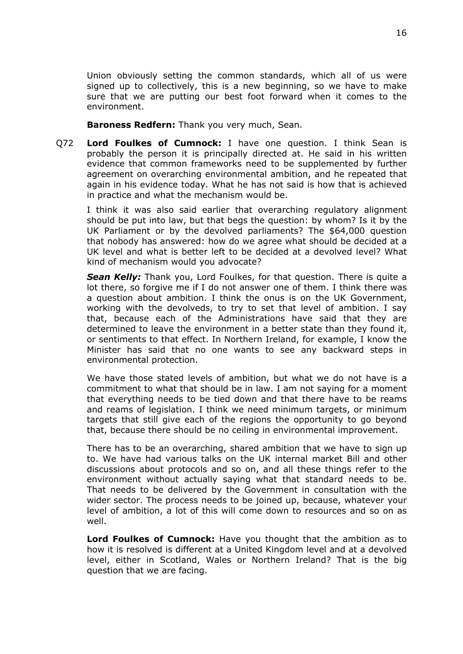Union obviously setting the common standards, which all of us were signed up to collectively, this is a new beginning, so we have to make sure that we are putting our best foot forward when it comes to the environment.

**Baroness Redfern:** Thank you very much, Sean.

Q72 **Lord Foulkes of Cumnock:** I have one question. I think Sean is probably the person it is principally directed at. He said in his written evidence that common frameworks need to be supplemented by further agreement on overarching environmental ambition, and he repeated that again in his evidence today. What he has not said is how that is achieved in practice and what the mechanism would be.

I think it was also said earlier that overarching regulatory alignment should be put into law, but that begs the question: by whom? Is it by the UK Parliament or by the devolved parliaments? The \$64,000 question that nobody has answered: how do we agree what should be decided at a UK level and what is better left to be decided at a devolved level? What kind of mechanism would you advocate?

*Sean Kelly:* Thank you, Lord Foulkes, for that question. There is quite a lot there, so forgive me if I do not answer one of them. I think there was a question about ambition. I think the onus is on the UK Government, working with the devolveds, to try to set that level of ambition. I say that, because each of the Administrations have said that they are determined to leave the environment in a better state than they found it, or sentiments to that effect. In Northern Ireland, for example, I know the Minister has said that no one wants to see any backward steps in environmental protection.

We have those stated levels of ambition, but what we do not have is a commitment to what that should be in law. I am not saying for a moment that everything needs to be tied down and that there have to be reams and reams of legislation. I think we need minimum targets, or minimum targets that still give each of the regions the opportunity to go beyond that, because there should be no ceiling in environmental improvement.

There has to be an overarching, shared ambition that we have to sign up to. We have had various talks on the UK internal market Bill and other discussions about protocols and so on, and all these things refer to the environment without actually saying what that standard needs to be. That needs to be delivered by the Government in consultation with the wider sector. The process needs to be joined up, because, whatever your level of ambition, a lot of this will come down to resources and so on as well.

**Lord Foulkes of Cumnock:** Have you thought that the ambition as to how it is resolved is different at a United Kingdom level and at a devolved level, either in Scotland, Wales or Northern Ireland? That is the big question that we are facing.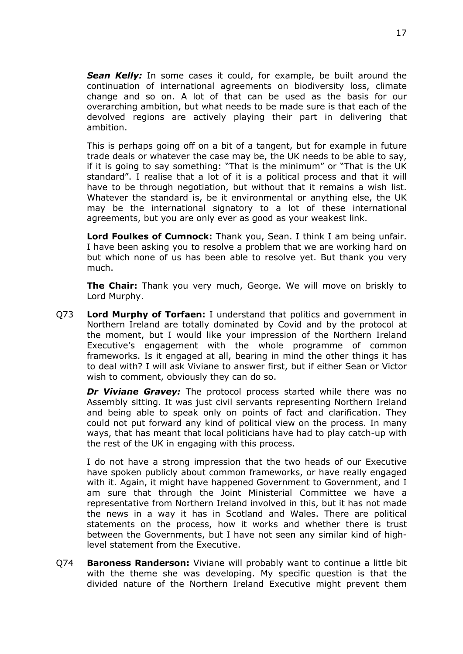*Sean Kelly:* In some cases it could, for example, be built around the continuation of international agreements on biodiversity loss, climate change and so on. A lot of that can be used as the basis for our overarching ambition, but what needs to be made sure is that each of the devolved regions are actively playing their part in delivering that ambition.

This is perhaps going off on a bit of a tangent, but for example in future trade deals or whatever the case may be, the UK needs to be able to say, if it is going to say something: "That is the minimum" or "That is the UK standard". I realise that a lot of it is a political process and that it will have to be through negotiation, but without that it remains a wish list. Whatever the standard is, be it environmental or anything else, the UK may be the international signatory to a lot of these international agreements, but you are only ever as good as your weakest link.

**Lord Foulkes of Cumnock:** Thank you, Sean. I think I am being unfair. I have been asking you to resolve a problem that we are working hard on but which none of us has been able to resolve yet. But thank you very much.

**The Chair:** Thank you very much, George. We will move on briskly to Lord Murphy.

Q73 **Lord Murphy of Torfaen:** I understand that politics and government in Northern Ireland are totally dominated by Covid and by the protocol at the moment, but I would like your impression of the Northern Ireland Executive's engagement with the whole programme of common frameworks. Is it engaged at all, bearing in mind the other things it has to deal with? I will ask Viviane to answer first, but if either Sean or Victor wish to comment, obviously they can do so.

*Dr Viviane Gravey:* The protocol process started while there was no Assembly sitting. It was just civil servants representing Northern Ireland and being able to speak only on points of fact and clarification. They could not put forward any kind of political view on the process. In many ways, that has meant that local politicians have had to play catch-up with the rest of the UK in engaging with this process.

I do not have a strong impression that the two heads of our Executive have spoken publicly about common frameworks, or have really engaged with it. Again, it might have happened Government to Government, and I am sure that through the Joint Ministerial Committee we have a representative from Northern Ireland involved in this, but it has not made the news in a way it has in Scotland and Wales. There are political statements on the process, how it works and whether there is trust between the Governments, but I have not seen any similar kind of highlevel statement from the Executive.

Q74 **Baroness Randerson:** Viviane will probably want to continue a little bit with the theme she was developing. My specific question is that the divided nature of the Northern Ireland Executive might prevent them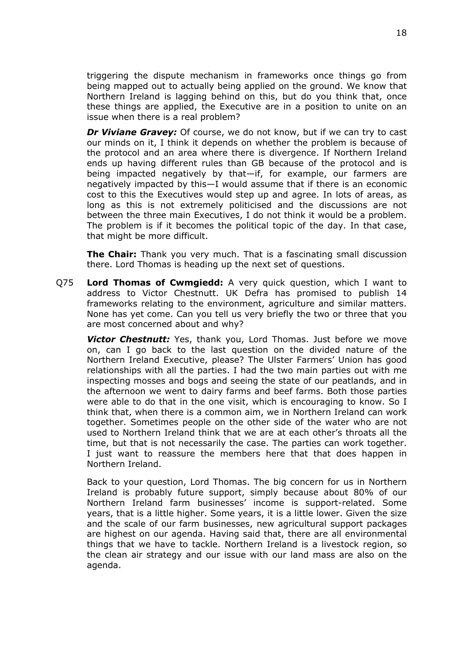triggering the dispute mechanism in frameworks once things go from being mapped out to actually being applied on the ground. We know that Northern Ireland is lagging behind on this, but do you think that, once these things are applied, the Executive are in a position to unite on an issue when there is a real problem?

*Dr Viviane Gravey:* Of course, we do not know, but if we can try to cast our minds on it, I think it depends on whether the problem is because of the protocol and an area where there is divergence. If Northern Ireland ends up having different rules than GB because of the protocol and is being impacted negatively by that—if, for example, our farmers are negatively impacted by this—I would assume that if there is an economic cost to this the Executives would step up and agree. In lots of areas, as long as this is not extremely politicised and the discussions are not between the three main Executives, I do not think it would be a problem. The problem is if it becomes the political topic of the day. In that case, that might be more difficult.

**The Chair:** Thank you very much. That is a fascinating small discussion there. Lord Thomas is heading up the next set of questions.

Q75 **Lord Thomas of Cwmgiedd:** A very quick question, which I want to address to Victor Chestnutt. UK Defra has promised to publish 14 frameworks relating to the environment, agriculture and similar matters. None has yet come. Can you tell us very briefly the two or three that you are most concerned about and why?

*Victor Chestnutt:* Yes, thank you, Lord Thomas. Just before we move on, can I go back to the last question on the divided nature of the Northern Ireland Executive, please? The Ulster Farmers' Union has good relationships with all the parties. I had the two main parties out with me inspecting mosses and bogs and seeing the state of our peatlands, and in the afternoon we went to dairy farms and beef farms. Both those parties were able to do that in the one visit, which is encouraging to know. So I think that, when there is a common aim, we in Northern Ireland can work together. Sometimes people on the other side of the water who are not used to Northern Ireland think that we are at each other's throats all the time, but that is not necessarily the case. The parties can work together. I just want to reassure the members here that that does happen in Northern Ireland.

Back to your question, Lord Thomas. The big concern for us in Northern Ireland is probably future support, simply because about 80% of our Northern Ireland farm businesses' income is support-related. Some years, that is a little higher. Some years, it is a little lower. Given the size and the scale of our farm businesses, new agricultural support packages are highest on our agenda. Having said that, there are all environmental things that we have to tackle. Northern Ireland is a livestock region, so the clean air strategy and our issue with our land mass are also on the agenda.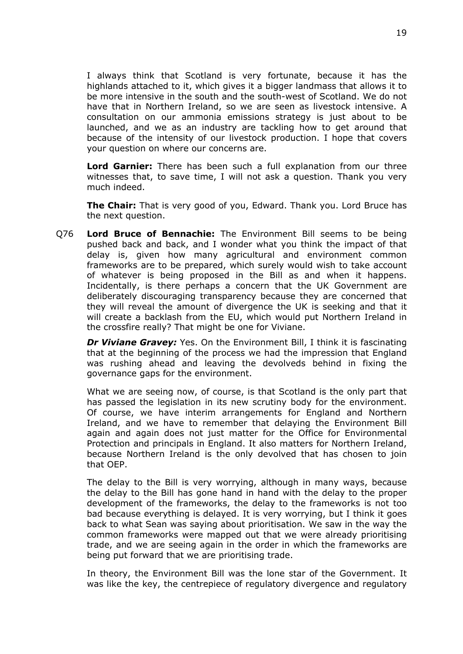I always think that Scotland is very fortunate, because it has the highlands attached to it, which gives it a bigger landmass that allows it to be more intensive in the south and the south-west of Scotland. We do not have that in Northern Ireland, so we are seen as livestock intensive. A consultation on our ammonia emissions strategy is just about to be launched, and we as an industry are tackling how to get around that because of the intensity of our livestock production. I hope that covers your question on where our concerns are.

**Lord Garnier:** There has been such a full explanation from our three witnesses that, to save time, I will not ask a question. Thank you very much indeed.

**The Chair:** That is very good of you, Edward. Thank you. Lord Bruce has the next question.

Q76 **Lord Bruce of Bennachie:** The Environment Bill seems to be being pushed back and back, and I wonder what you think the impact of that delay is, given how many agricultural and environment common frameworks are to be prepared, which surely would wish to take account of whatever is being proposed in the Bill as and when it happens. Incidentally, is there perhaps a concern that the UK Government are deliberately discouraging transparency because they are concerned that they will reveal the amount of divergence the UK is seeking and that it will create a backlash from the EU, which would put Northern Ireland in the crossfire really? That might be one for Viviane.

*Dr Viviane Gravey:* Yes. On the Environment Bill, I think it is fascinating that at the beginning of the process we had the impression that England was rushing ahead and leaving the devolveds behind in fixing the governance gaps for the environment.

What we are seeing now, of course, is that Scotland is the only part that has passed the legislation in its new scrutiny body for the environment. Of course, we have interim arrangements for England and Northern Ireland, and we have to remember that delaying the Environment Bill again and again does not just matter for the Office for Environmental Protection and principals in England. It also matters for Northern Ireland, because Northern Ireland is the only devolved that has chosen to join that OEP.

The delay to the Bill is very worrying, although in many ways, because the delay to the Bill has gone hand in hand with the delay to the proper development of the frameworks, the delay to the frameworks is not too bad because everything is delayed. It is very worrying, but I think it goes back to what Sean was saying about prioritisation. We saw in the way the common frameworks were mapped out that we were already prioritising trade, and we are seeing again in the order in which the frameworks are being put forward that we are prioritising trade.

In theory, the Environment Bill was the lone star of the Government. It was like the key, the centrepiece of regulatory divergence and regulatory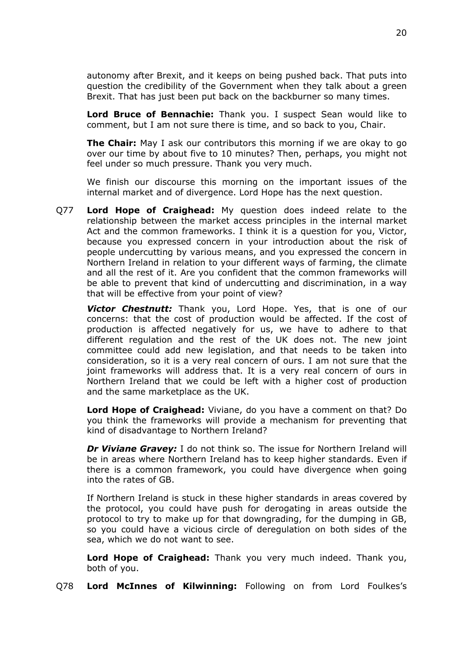autonomy after Brexit, and it keeps on being pushed back. That puts into question the credibility of the Government when they talk about a green Brexit. That has just been put back on the backburner so many times.

**Lord Bruce of Bennachie:** Thank you. I suspect Sean would like to comment, but I am not sure there is time, and so back to you, Chair.

**The Chair:** May I ask our contributors this morning if we are okay to go over our time by about five to 10 minutes? Then, perhaps, you might not feel under so much pressure. Thank you very much.

We finish our discourse this morning on the important issues of the internal market and of divergence. Lord Hope has the next question.

Q77 **Lord Hope of Craighead:** My question does indeed relate to the relationship between the market access principles in the internal market Act and the common frameworks. I think it is a question for you, Victor, because you expressed concern in your introduction about the risk of people undercutting by various means, and you expressed the concern in Northern Ireland in relation to your different ways of farming, the climate and all the rest of it. Are you confident that the common frameworks will be able to prevent that kind of undercutting and discrimination, in a way that will be effective from your point of view?

*Victor Chestnutt:* Thank you, Lord Hope. Yes, that is one of our concerns: that the cost of production would be affected. If the cost of production is affected negatively for us, we have to adhere to that different regulation and the rest of the UK does not. The new joint committee could add new legislation, and that needs to be taken into consideration, so it is a very real concern of ours. I am not sure that the joint frameworks will address that. It is a very real concern of ours in Northern Ireland that we could be left with a higher cost of production and the same marketplace as the UK.

**Lord Hope of Craighead:** Viviane, do you have a comment on that? Do you think the frameworks will provide a mechanism for preventing that kind of disadvantage to Northern Ireland?

*Dr Viviane Gravey:* I do not think so. The issue for Northern Ireland will be in areas where Northern Ireland has to keep higher standards. Even if there is a common framework, you could have divergence when going into the rates of GB.

If Northern Ireland is stuck in these higher standards in areas covered by the protocol, you could have push for derogating in areas outside the protocol to try to make up for that downgrading, for the dumping in GB, so you could have a vicious circle of deregulation on both sides of the sea, which we do not want to see.

**Lord Hope of Craighead:** Thank you very much indeed. Thank you, both of you.

Q78 **Lord McInnes of Kilwinning:** Following on from Lord Foulkes's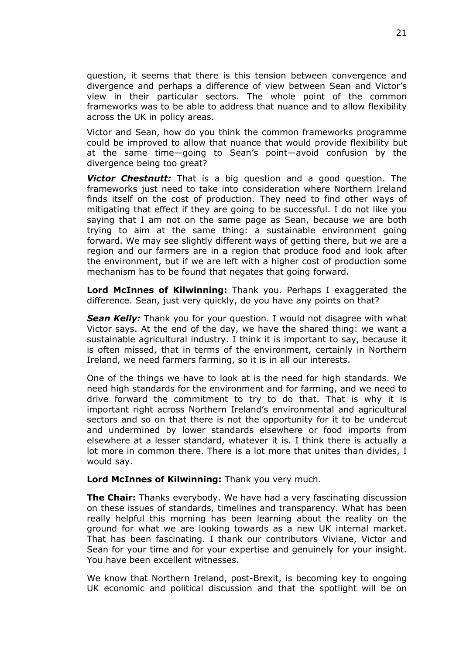question, it seems that there is this tension between convergence and divergence and perhaps a difference of view between Sean and Victor's view in their particular sectors. The whole point of the common frameworks was to be able to address that nuance and to allow flexibility across the UK in policy areas.

Victor and Sean, how do you think the common frameworks programme could be improved to allow that nuance that would provide flexibility but at the same time—going to Sean's point—avoid confusion by the divergence being too great?

*Victor Chestnutt:* That is a big question and a good question. The frameworks just need to take into consideration where Northern Ireland finds itself on the cost of production. They need to find other ways of mitigating that effect if they are going to be successful. I do not like you saying that I am not on the same page as Sean, because we are both trying to aim at the same thing: a sustainable environment going forward. We may see slightly different ways of getting there, but we are a region and our farmers are in a region that produce food and look after the environment, but if we are left with a higher cost of production some mechanism has to be found that negates that going forward.

**Lord McInnes of Kilwinning:** Thank you. Perhaps I exaggerated the difference. Sean, just very quickly, do you have any points on that?

**Sean Kelly:** Thank you for your question. I would not disagree with what Victor says. At the end of the day, we have the shared thing: we want a sustainable agricultural industry. I think it is important to say, because it is often missed, that in terms of the environment, certainly in Northern Ireland, we need farmers farming, so it is in all our interests.

One of the things we have to look at is the need for high standards. We need high standards for the environment and for farming, and we need to drive forward the commitment to try to do that. That is why it is important right across Northern Ireland's environmental and agricultural sectors and so on that there is not the opportunity for it to be undercut and undermined by lower standards elsewhere or food imports from elsewhere at a lesser standard, whatever it is. I think there is actually a lot more in common there. There is a lot more that unites than divides, I would say.

#### **Lord McInnes of Kilwinning:** Thank you very much.

**The Chair:** Thanks everybody. We have had a very fascinating discussion on these issues of standards, timelines and transparency. What has been really helpful this morning has been learning about the reality on the ground for what we are looking towards as a new UK internal market. That has been fascinating. I thank our contributors Viviane, Victor and Sean for your time and for your expertise and genuinely for your insight. You have been excellent witnesses.

We know that Northern Ireland, post-Brexit, is becoming key to ongoing UK economic and political discussion and that the spotlight will be on